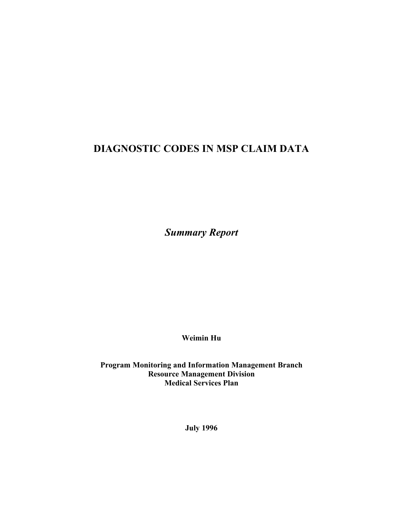# **DIAGNOSTIC CODES IN MSP CLAIM DATA**

*Summary Report*

**Weimin Hu**

**Program Monitoring and Information Management Branch Resource Management Division Medical Services Plan** 

**July 1996**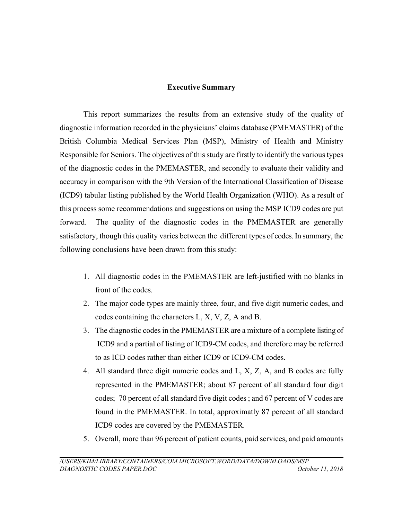# **Executive Summary**

This report summarizes the results from an extensive study of the quality of diagnostic information recorded in the physicians' claims database (PMEMASTER) of the British Columbia Medical Services Plan (MSP), Ministry of Health and Ministry Responsible for Seniors. The objectives of this study are firstly to identify the various types of the diagnostic codes in the PMEMASTER, and secondly to evaluate their validity and accuracy in comparison with the 9th Version of the International Classification of Disease (ICD9) tabular listing published by the World Health Organization (WHO). As a result of this process some recommendations and suggestions on using the MSP ICD9 codes are put forward. The quality of the diagnostic codes in the PMEMASTER are generally satisfactory, though this quality varies between the different types of codes. In summary, the following conclusions have been drawn from this study:

- 1. All diagnostic codes in the PMEMASTER are left-justified with no blanks in front of the codes.
- 2. The major code types are mainly three, four, and five digit numeric codes, and codes containing the characters L, X, V, Z, A and B.
- 3. The diagnostic codes in the PMEMASTER are a mixture of a complete listing of ICD9 and a partial of listing of ICD9-CM codes, and therefore may be referred to as ICD codes rather than either ICD9 or ICD9-CM codes.
- 4. All standard three digit numeric codes and L, X, Z, A, and B codes are fully represented in the PMEMASTER; about 87 percent of all standard four digit codes; 70 percent of all standard five digit codes ; and 67 percent of V codes are found in the PMEMASTER. In total, approximatly 87 percent of all standard ICD9 codes are covered by the PMEMASTER.
- 5. Overall, more than 96 percent of patient counts, paid services, and paid amounts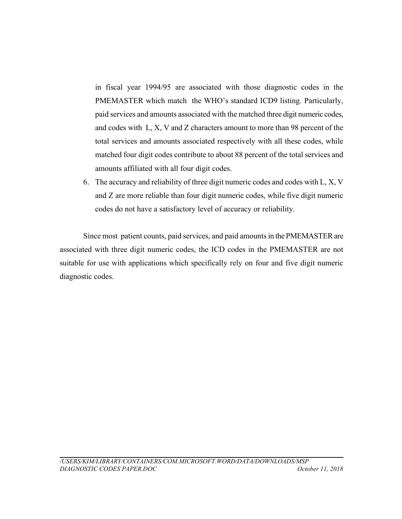in fiscal year 1994/95 are associated with those diagnostic codes in the PMEMASTER which match the WHO's standard ICD9 listing. Particularly, paid services and amounts associated with the matched three digit numeric codes, and codes with L, X, V and Z characters amount to more than 98 percent of the total services and amounts associated respectively with all these codes, while matched four digit codes contribute to about 88 percent of the total services and amounts affiliated with all four digit codes.

6. The accuracy and reliability of three digit numeric codes and codes with L, X, V and Z are more reliable than four digit numeric codes, while five digit numeric codes do not have a satisfactory level of accuracy or reliability.

Since most patient counts, paid services, and paid amounts in the PMEMASTER are associated with three digit numeric codes, the ICD codes in the PMEMASTER are not suitable for use with applications which specifically rely on four and five digit numeric diagnostic codes.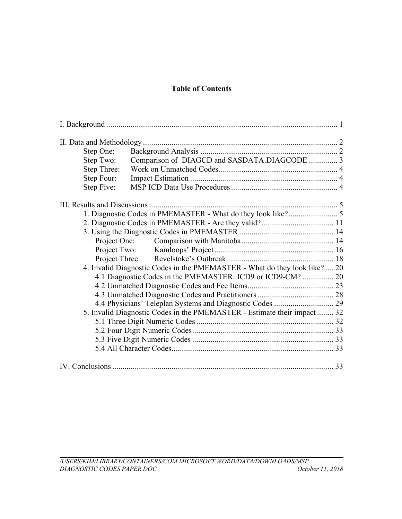# **Table of Contents**

| Step One:                                                                  |  |
|----------------------------------------------------------------------------|--|
| Comparison of DIAGCD and SASDATA.DIAGCODE  3<br>Step Two:                  |  |
| Step Three:                                                                |  |
| Step Four:                                                                 |  |
| Step Five:                                                                 |  |
|                                                                            |  |
|                                                                            |  |
|                                                                            |  |
|                                                                            |  |
|                                                                            |  |
|                                                                            |  |
|                                                                            |  |
| 4. Invalid Diagnostic Codes in the PMEMASTER - What do they look like?  20 |  |
| 4.1 Diagnostic Codes in the PMEMASTER: ICD9 or ICD9-CM?  20                |  |
|                                                                            |  |
|                                                                            |  |
| 4.4 Physicians' Teleplan Systems and Diagnostic Codes  29                  |  |
| 5. Invalid Diagnostic Codes in the PMEMASTER - Estimate their impact  32   |  |
|                                                                            |  |
|                                                                            |  |
|                                                                            |  |
|                                                                            |  |
|                                                                            |  |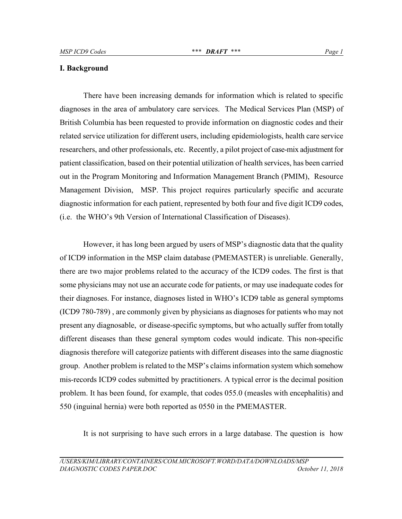#### **I. Background**

There have been increasing demands for information which is related to specific diagnoses in the area of ambulatory care services. The Medical Services Plan (MSP) of British Columbia has been requested to provide information on diagnostic codes and their related service utilization for different users, including epidemiologists, health care service researchers, and other professionals, etc. Recently, a pilot project of case-mix adjustment for patient classification, based on their potential utilization of health services, has been carried out in the Program Monitoring and Information Management Branch (PMIM), Resource Management Division, MSP. This project requires particularly specific and accurate diagnostic information for each patient, represented by both four and five digit ICD9 codes, (i.e. the WHO's 9th Version of International Classification of Diseases).

However, it has long been argued by users of MSP's diagnostic data that the quality of ICD9 information in the MSP claim database (PMEMASTER) is unreliable. Generally, there are two major problems related to the accuracy of the ICD9 codes. The first is that some physicians may not use an accurate code for patients, or may use inadequate codes for their diagnoses. For instance, diagnoses listed in WHO's ICD9 table as general symptoms (ICD9 780-789) , are commonly given by physicians as diagnoses for patients who may not present any diagnosable, or disease-specific symptoms, but who actually suffer from totally different diseases than these general symptom codes would indicate. This non-specific diagnosis therefore will categorize patients with different diseases into the same diagnostic group. Another problem is related to the MSP's claims information system which somehow mis-records ICD9 codes submitted by practitioners. A typical error is the decimal position problem. It has been found, for example, that codes 055.0 (measles with encephalitis) and 550 (inguinal hernia) were both reported as 0550 in the PMEMASTER.

It is not surprising to have such errors in a large database. The question is how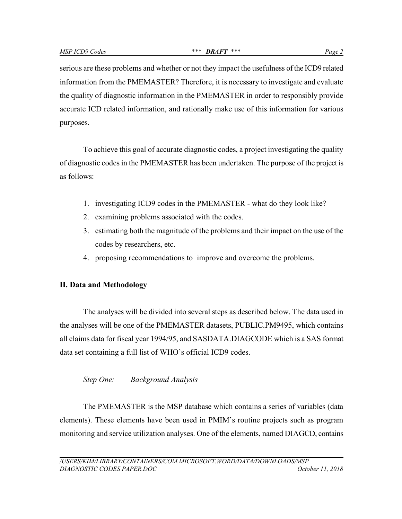serious are these problems and whether or not they impact the usefulness of the ICD9 related information from the PMEMASTER? Therefore, it is necessary to investigate and evaluate the quality of diagnostic information in the PMEMASTER in order to responsibly provide accurate ICD related information, and rationally make use of this information for various purposes.

To achieve this goal of accurate diagnostic codes, a project investigating the quality of diagnostic codes in the PMEMASTER has been undertaken. The purpose of the project is as follows:

- 1. investigating ICD9 codes in the PMEMASTER what do they look like?
- 2. examining problems associated with the codes.
- 3. estimating both the magnitude of the problems and their impact on the use of the codes by researchers, etc.
- 4. proposing recommendations to improve and overcome the problems.

# **II. Data and Methodology**

The analyses will be divided into several steps as described below. The data used in the analyses will be one of the PMEMASTER datasets, PUBLIC.PM9495, which contains all claims data for fiscal year 1994/95, and SASDATA.DIAGCODE which is a SAS format data set containing a full list of WHO's official ICD9 codes.

# *Step One: Background Analysis*

The PMEMASTER is the MSP database which contains a series of variables (data elements). These elements have been used in PMIM's routine projects such as program monitoring and service utilization analyses. One of the elements, named DIAGCD, contains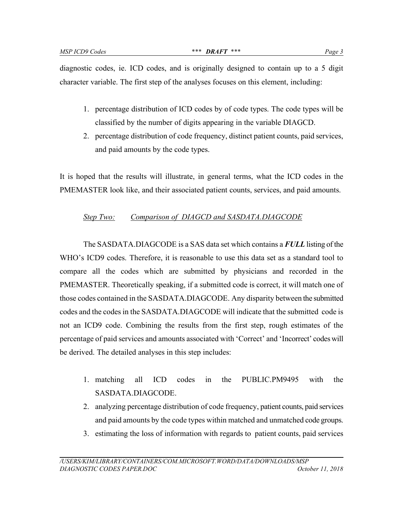diagnostic codes, ie. ICD codes, and is originally designed to contain up to a 5 digit character variable. The first step of the analyses focuses on this element, including:

- 1. percentage distribution of ICD codes by of code types. The code types will be classified by the number of digits appearing in the variable DIAGCD.
- 2. percentage distribution of code frequency, distinct patient counts, paid services, and paid amounts by the code types.

It is hoped that the results will illustrate, in general terms, what the ICD codes in the PMEMASTER look like, and their associated patient counts, services, and paid amounts.

# *Step Two: Comparison of DIAGCD and SASDATA.DIAGCODE*

The SASDATA.DIAGCODE is a SAS data set which contains a *FULL* listing of the WHO's ICD9 codes. Therefore, it is reasonable to use this data set as a standard tool to compare all the codes which are submitted by physicians and recorded in the PMEMASTER. Theoretically speaking, if a submitted code is correct, it will match one of those codes contained in the SASDATA.DIAGCODE. Any disparity between the submitted codes and the codes in the SASDATA.DIAGCODE will indicate that the submitted code is not an ICD9 code. Combining the results from the first step, rough estimates of the percentage of paid services and amounts associated with 'Correct' and 'Incorrect' codes will be derived. The detailed analyses in this step includes:

- 1. matching all ICD codes in the PUBLIC.PM9495 with the SASDATA.DIAGCODE.
- 2. analyzing percentage distribution of code frequency, patient counts, paid services and paid amounts by the code types within matched and unmatched code groups.
- 3. estimating the loss of information with regards to patient counts, paid services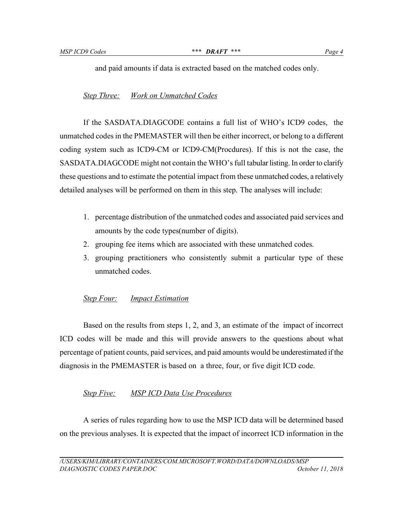and paid amounts if data is extracted based on the matched codes only.

# *Step Three: Work on Unmatched Codes*

If the SASDATA.DIAGCODE contains a full list of WHO's ICD9 codes, the unmatched codes in the PMEMASTER will then be either incorrect, or belong to a different coding system such as ICD9-CM or ICD9-CM(Procdures). If this is not the case, the SASDATA.DIAGCODE might not contain the WHO's full tabular listing. In order to clarify these questions and to estimate the potential impact from these unmatched codes, a relatively detailed analyses will be performed on them in this step. The analyses will include:

- 1. percentage distribution of the unmatched codes and associated paid services and amounts by the code types(number of digits).
- 2. grouping fee items which are associated with these unmatched codes.
- 3. grouping practitioners who consistently submit a particular type of these unmatched codes.

# *Step Four: Impact Estimation*

Based on the results from steps 1, 2, and 3, an estimate of the impact of incorrect ICD codes will be made and this will provide answers to the questions about what percentage of patient counts, paid services, and paid amounts would be underestimated if the diagnosis in the PMEMASTER is based on a three, four, or five digit ICD code.

# *Step Five: MSP ICD Data Use Procedures*

A series of rules regarding how to use the MSP ICD data will be determined based on the previous analyses. It is expected that the impact of incorrect ICD information in the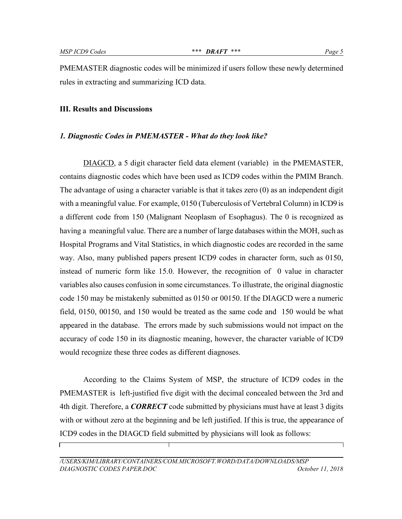PMEMASTER diagnostic codes will be minimized if users follow these newly determined rules in extracting and summarizing ICD data.

#### **III. Results and Discussions**

#### *1. Diagnostic Codes in PMEMASTER - What do they look like?*

DIAGCD, a 5 digit character field data element (variable) in the PMEMASTER, contains diagnostic codes which have been used as ICD9 codes within the PMIM Branch. The advantage of using a character variable is that it takes zero (0) as an independent digit with a meaningful value. For example, 0150 (Tuberculosis of Vertebral Column) in ICD9 is a different code from 150 (Malignant Neoplasm of Esophagus). The 0 is recognized as having a meaningful value. There are a number of large databases within the MOH, such as Hospital Programs and Vital Statistics, in which diagnostic codes are recorded in the same way. Also, many published papers present ICD9 codes in character form, such as 0150, instead of numeric form like 15.0. However, the recognition of 0 value in character variables also causes confusion in some circumstances. To illustrate, the original diagnostic code 150 may be mistakenly submitted as 0150 or 00150. If the DIAGCD were a numeric field, 0150, 00150, and 150 would be treated as the same code and 150 would be what appeared in the database. The errors made by such submissions would not impact on the accuracy of code 150 in its diagnostic meaning, however, the character variable of ICD9 would recognize these three codes as different diagnoses.

According to the Claims System of MSP, the structure of ICD9 codes in the PMEMASTER is left-justified five digit with the decimal concealed between the 3rd and 4th digit. Therefore, a *CORRECT* code submitted by physicians must have at least 3 digits with or without zero at the beginning and be left justified. If this is true, the appearance of ICD9 codes in the DIAGCD field submitted by physicians will look as follows: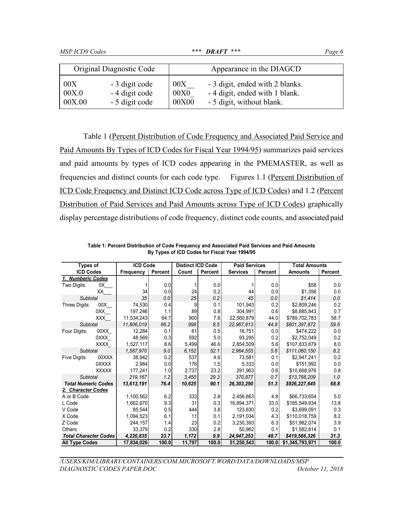|        | Original Diagnostic Code |       | Appearance in the DIAGCD        |
|--------|--------------------------|-------|---------------------------------|
| 00X    | - 3 digit code           | 00X   | - 3 digit, ended with 2 blanks. |
| 00X.0  | - 4 digit code           | 00X0  | - 4 digit, ended with 1 blank.  |
| 00X.00 | - 5 digit code           | 00X00 | - 5 digit, without blank.       |

Table 1 (Percent Distribution of Code Frequency and Associated Paid Service and Paid Amounts By Types of ICD Codes for Fiscal Year 1994/95) summarizes paid services and paid amounts by types of ICD codes appearing in the PMEMASTER, as well as frequencies and distinct counts for each code type. Figures 1.1 (Percent Distribution of ICD Code Frequency and Distinct ICD Code across Type of ICD Codes) and 1.2 (Percent Distribution of Paid Services and Paid Amounts across Type of ICD Codes) graphically display percentage distributions of code frequency, distinct code counts, and associated paid

|                              | <b>Types of</b> |            | <b>ICD Code</b> | <b>Distinct ICD Code</b> |                | <b>Paid Services</b> |         | <b>Total Amounts</b> |         |  |
|------------------------------|-----------------|------------|-----------------|--------------------------|----------------|----------------------|---------|----------------------|---------|--|
| <b>ICD Codes</b>             |                 | Frequency  | Percent         | Count                    | <b>Percent</b> | <b>Services</b>      | Percent | <b>Amounts</b>       | Percent |  |
| 1. Numberic Codes            |                 |            |                 |                          |                |                      |         |                      |         |  |
| Two Digits:                  | 0X              |            | 0.0             |                          | 0.0            |                      | 0.0     | \$58                 | 0.0     |  |
|                              | XX              | 34         | 0.0             | 24                       | 0.2            | 44                   | 0.0     | \$1,356              | 0.0     |  |
| <b>Subtotal</b>              |                 | 35         | 0.0             | 25                       | 0.2            | 45                   | 0.0     | \$1.414              | 0.0     |  |
| Three Digits:                | 00X             | 74,530     | 0.4             | 9                        | 0.1            | 101,943              | 0.2     | \$2,809,246          | 0.2     |  |
|                              | 0XX             | 197.246    | 1.1             | 89                       | 0.8            | 304,991              | 0.6     | \$8,885,843          | 0.7     |  |
|                              | <b>XXX</b>      | 11,534,243 | 64.7            | 900                      | 7.6            | 22,560,879           | 44.0    | \$789,702,783        | 58.7    |  |
| <b>Subtotal</b>              |                 | 11,806,019 | 66.2            | 998                      | 8.5            | 22,967,813           | 44.8    | \$801.397.872        | 59.6    |  |
| Four Digits:                 | 00XX            | 12,284     | 0.1             | 61                       | 0.5            | 16.751               | 0.0     | \$474,222            | 0.0     |  |
|                              | 0XXX            | 48,569     | 0.3             | 592                      | 5.0            | 93,295               | 0.2     | \$2,752,049          | 0.2     |  |
|                              | XXXX            | 1,527,117  | 8.6             | 5,499                    | 46.6           | 2,854,509            | 5.6     | \$107,833,879        | 8.0     |  |
| <b>Subtotal</b>              |                 | 1,587,970  | 9.0             | 6.152                    | 52.1           | 2.964.555            | 5.8     | \$111,060,150        | 8.2     |  |
| Five Digits:                 | 00XXX           | 38.942     | 0.2             | 537                      | 4.6            | 73.581               | 0.1     | \$2.947.241          | 0.2     |  |
|                              | 0XXXX           | 2,984      | 0.0             | 176                      | 1.5            | 5,333                | 0.0     | \$151,992            | 0.0     |  |
|                              | <b>XXXXX</b>    | 177,241    | 1.0             | 2,737                    | 23.2           | 291,963              | 0.6     | \$10,668,976         | 0.8     |  |
| <b>Subtotal</b>              |                 | 219.167    | 1.2             | 3.450                    | 29.3           | 370.877              | 0.7     | \$13.768.209         | 1.0     |  |
| <b>Total Numeric Codes</b>   |                 | 13,613,191 | 76.4            | 10,625                   | 90.1           | 26,303,290           | 51.3    | \$926,227,645        | 68.8    |  |
| 2. Character Codes           |                 |            |                 |                          |                |                      |         |                      |         |  |
| A or B Code                  |                 | 1,100,562  | 6.2             | 333                      | 2.8            | 2,456,663            | 4.8     | \$66,733,654         | 5.0     |  |
| L Code                       |                 | 1,662,670  | 9.3             | 31                       | 0.3            | 16,894,371           | 33.0    | \$185,549,934        | 13.8    |  |
| V Code                       |                 | 85.544     | 0.5             | 444                      | 3.8            | 123,830              | 0.2     | \$3,699,091          | 0.3     |  |
| X Code                       |                 | 1,094,523  | 6.1             | 11                       | 0.1            | 2,191,034            | 4.3     | \$110,018,759        | 8.2     |  |
| Z Code                       |                 | 244,157    | 1.4             | 23                       | 0.2            | 3,230,393            | 6.3     | \$51,982,074         | 3.9     |  |
| Others                       |                 | 33,379     | 0.2             | 330                      | 2.8            | 50,962               | 0.1     | \$1,582,814          | 0.1     |  |
| <b>Total Character Codes</b> |                 | 4,220,835  | 23.7            | 1,172                    | 99             | 24,947,253           | 48.7    | \$419,566,326        | 31.3    |  |
| <b>All Type Codes</b>        |                 | 17,834,026 | 100.0           | 11,797                   | 100.0          | 51,250,543           | 100.0   | \$1,345,793,971      | 100.0   |  |

**Table 1: Percent Distribution of Code Frequency and Associated Paid Services and Paid Amounts By Types of ICD Codes for Fiscal Year 1994/95**

*/USERS/KIM/LIBRARY/CONTAINERS/COM.MICROSOFT.WORD/DATA/DOWNLOADS/MSP DIAGNOSTIC CODES PAPER.DOC October 11, 2018*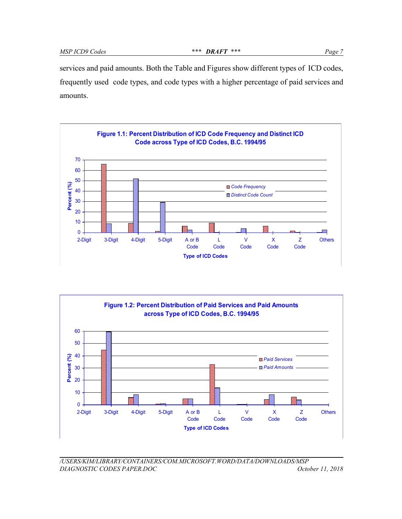services and paid amounts. Both the Table and Figures show different types of ICD codes, frequently used code types, and code types with a higher percentage of paid services and amounts.





*/USERS/KIM/LIBRARY/CONTAINERS/COM.MICROSOFT.WORD/DATA/DOWNLOADS/MSP DIAGNOSTIC CODES PAPER.DOC October 11, 2018*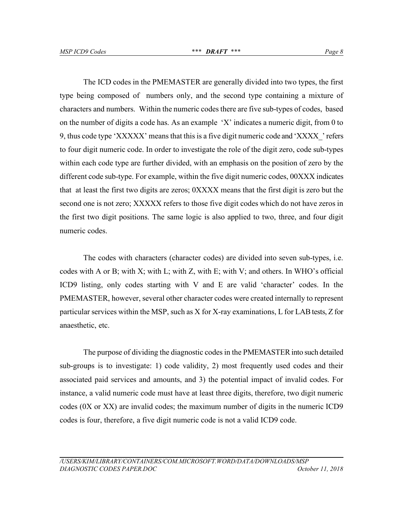The ICD codes in the PMEMASTER are generally divided into two types, the first type being composed of numbers only, and the second type containing a mixture of characters and numbers. Within the numeric codes there are five sub-types of codes, based on the number of digits a code has. As an example 'X' indicates a numeric digit, from 0 to 9, thus code type 'XXXXX' means that this is a five digit numeric code and 'XXXX' refers to four digit numeric code. In order to investigate the role of the digit zero, code sub-types within each code type are further divided, with an emphasis on the position of zero by the different code sub-type. For example, within the five digit numeric codes, 00XXX indicates that at least the first two digits are zeros; 0XXXX means that the first digit is zero but the second one is not zero; XXXXX refers to those five digit codes which do not have zeros in the first two digit positions. The same logic is also applied to two, three, and four digit numeric codes.

The codes with characters (character codes) are divided into seven sub-types, i.e. codes with A or B; with X; with L; with Z, with E; with V; and others. In WHO's official ICD9 listing, only codes starting with V and E are valid 'character' codes. In the PMEMASTER, however, several other character codes were created internally to represent particular services within the MSP, such as X for X-ray examinations, L for LAB tests, Z for anaesthetic, etc.

The purpose of dividing the diagnostic codes in the PMEMASTER into such detailed sub-groups is to investigate: 1) code validity, 2) most frequently used codes and their associated paid services and amounts, and 3) the potential impact of invalid codes. For instance, a valid numeric code must have at least three digits, therefore, two digit numeric codes (0X or XX) are invalid codes; the maximum number of digits in the numeric ICD9 codes is four, therefore, a five digit numeric code is not a valid ICD9 code.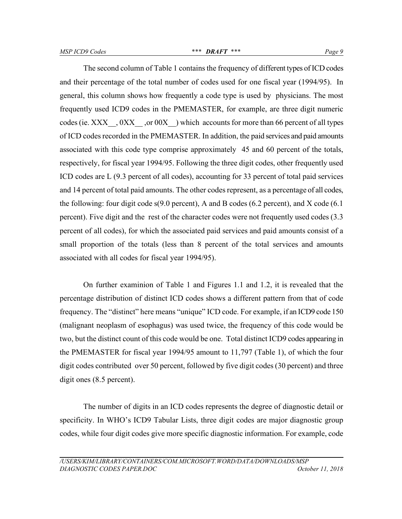The second column of Table 1 contains the frequency of different types of ICD codes and their percentage of the total number of codes used for one fiscal year (1994/95). In general, this column shows how frequently a code type is used by physicians. The most frequently used ICD9 codes in the PMEMASTER, for example, are three digit numeric codes (ie. XXX  $, 0XX$   $, 0XX$  or  $00X$ ) which accounts for more than 66 percent of all types of ICD codes recorded in the PMEMASTER. In addition, the paid services and paid amounts associated with this code type comprise approximately 45 and 60 percent of the totals, respectively, for fiscal year 1994/95. Following the three digit codes, other frequently used ICD codes are L (9.3 percent of all codes), accounting for 33 percent of total paid services and 14 percent of total paid amounts. The other codes represent, as a percentage of all codes, the following: four digit code s(9.0 percent), A and B codes (6.2 percent), and X code (6.1 percent). Five digit and the rest of the character codes were not frequently used codes (3.3 percent of all codes), for which the associated paid services and paid amounts consist of a small proportion of the totals (less than 8 percent of the total services and amounts associated with all codes for fiscal year 1994/95).

On further examinion of Table 1 and Figures 1.1 and 1.2, it is revealed that the percentage distribution of distinct ICD codes shows a different pattern from that of code frequency. The "distinct" here means "unique" ICD code. For example, if an ICD9 code 150 (malignant neoplasm of esophagus) was used twice, the frequency of this code would be two, but the distinct count of this code would be one. Total distinct ICD9 codes appearing in the PMEMASTER for fiscal year 1994/95 amount to 11,797 (Table 1), of which the four digit codes contributed over 50 percent, followed by five digit codes (30 percent) and three digit ones  $(8.5$  percent).

The number of digits in an ICD codes represents the degree of diagnostic detail or specificity. In WHO's ICD9 Tabular Lists, three digit codes are major diagnostic group codes, while four digit codes give more specific diagnostic information. For example, code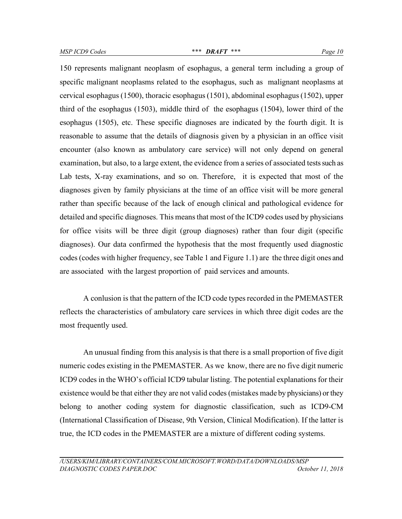150 represents malignant neoplasm of esophagus, a general term including a group of specific malignant neoplasms related to the esophagus, such as malignant neoplasms at cervical esophagus (1500), thoracic esophagus (1501), abdominal esophagus (1502), upper third of the esophagus (1503), middle third of the esophagus (1504), lower third of the esophagus (1505), etc. These specific diagnoses are indicated by the fourth digit. It is reasonable to assume that the details of diagnosis given by a physician in an office visit encounter (also known as ambulatory care service) will not only depend on general examination, but also, to a large extent, the evidence from a series of associated tests such as Lab tests, X-ray examinations, and so on. Therefore, it is expected that most of the diagnoses given by family physicians at the time of an office visit will be more general rather than specific because of the lack of enough clinical and pathological evidence for detailed and specific diagnoses. This means that most of the ICD9 codes used by physicians for office visits will be three digit (group diagnoses) rather than four digit (specific diagnoses). Our data confirmed the hypothesis that the most frequently used diagnostic codes (codes with higher frequency, see Table 1 and Figure 1.1) are the three digit ones and are associated with the largest proportion of paid services and amounts.

A conlusion is that the pattern of the ICD code types recorded in the PMEMASTER reflects the characteristics of ambulatory care services in which three digit codes are the most frequently used.

An unusual finding from this analysis is that there is a small proportion of five digit numeric codes existing in the PMEMASTER. As we know, there are no five digit numeric ICD9 codes in the WHO's official ICD9 tabular listing. The potential explanations for their existence would be that either they are not valid codes (mistakes made by physicians) or they belong to another coding system for diagnostic classification, such as ICD9-CM (International Classification of Disease, 9th Version, Clinical Modification). If the latter is true, the ICD codes in the PMEMASTER are a mixture of different coding systems.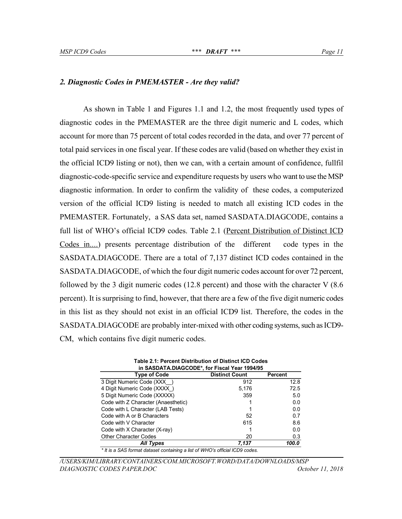#### *2. Diagnostic Codes in PMEMASTER - Are they valid?*

As shown in Table 1 and Figures 1.1 and 1.2, the most frequently used types of diagnostic codes in the PMEMASTER are the three digit numeric and L codes, which account for more than 75 percent of total codes recorded in the data, and over 77 percent of total paid services in one fiscal year. If these codes are valid (based on whether they exist in the official ICD9 listing or not), then we can, with a certain amount of confidence, fullfil diagnostic-code-specific service and expenditure requests by users who want to use the MSP diagnostic information. In order to confirm the validity of these codes, a computerized version of the official ICD9 listing is needed to match all existing ICD codes in the PMEMASTER. Fortunately, a SAS data set, named SASDATA.DIAGCODE, contains a full list of WHO's official ICD9 codes. Table 2.1 (Percent Distribution of Distinct ICD Codes in....) presents percentage distribution of the different code types in the SASDATA.DIAGCODE. There are a total of 7,137 distinct ICD codes contained in the SASDATA.DIAGCODE, of which the four digit numeric codes account for over 72 percent, followed by the 3 digit numeric codes (12.8 percent) and those with the character  $V$  (8.6) percent). It is surprising to find, however, that there are a few of the five digit numeric codes in this list as they should not exist in an official ICD9 list. Therefore, the codes in the SASDATA.DIAGCODE are probably inter-mixed with other coding systems, such as ICD9- CM, which contains five digit numeric codes.

| in SASDATA.DIAGCODE*, for Fiscal Year 1994/95                                |                       |         |  |  |  |  |  |
|------------------------------------------------------------------------------|-----------------------|---------|--|--|--|--|--|
| <b>Type of Code</b>                                                          | <b>Distinct Count</b> | Percent |  |  |  |  |  |
| 3 Digit Numeric Code (XXX )                                                  | 912                   | 12.8    |  |  |  |  |  |
| 4 Digit Numeric Code (XXXX)                                                  | 5,176                 | 72.5    |  |  |  |  |  |
| 5 Digit Numeric Code (XXXXX)                                                 | 359                   | 5.0     |  |  |  |  |  |
| Code with Z Character (Anaesthetic)                                          |                       | 0.0     |  |  |  |  |  |
| Code with L Character (LAB Tests)                                            |                       | 0.0     |  |  |  |  |  |
| Code with A or B Characters                                                  | 52                    | 0.7     |  |  |  |  |  |
| Code with V Character                                                        | 615                   | 8.6     |  |  |  |  |  |
| Code with X Character (X-ray)                                                |                       | 0.0     |  |  |  |  |  |
| <b>Other Character Codes</b>                                                 | 20                    | 0.3     |  |  |  |  |  |
| <b>All Types</b>                                                             | 7,137                 | 100.0   |  |  |  |  |  |
| * It is a SAS format dataset containing a list of WHO's official ICD9 codes. |                       |         |  |  |  |  |  |

**Table 2.1: Percent Distribution of Distinct ICD Codes**

*/USERS/KIM/LIBRARY/CONTAINERS/COM.MICROSOFT.WORD/DATA/DOWNLOADS/MSP DIAGNOSTIC CODES PAPER.DOC October 11, 2018*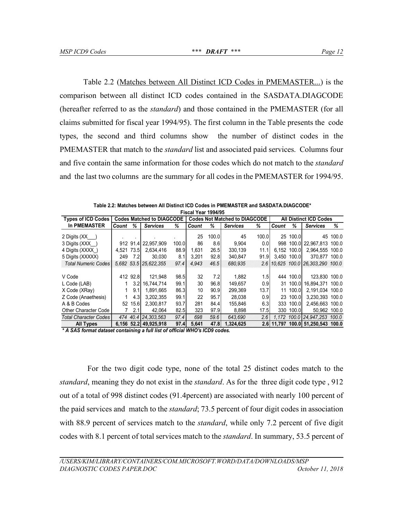Table 2.2 (Matches between All Distinct ICD Codes in PMEMASTER...) is the comparison between all distinct ICD codes contained in the SASDATA.DIAGCODE (hereafter referred to as the *standard*) and those contained in the PMEMASTER (for all claims submitted for fiscal year 1994/95). The first column in the Table presents the code types, the second and third columns show the number of distinct codes in the PMEMASTER that match to the *standard* list and associated paid services. Columns four and five contain the same information for those codes which do not match to the *standard* and the last two columns are the summary for all codes in the PMEMASTER for 1994/95.

| Fiscal Year 1994/95          |            |          |                                  |       |       |                                      |                 |       |       |                               |                                   |          |  |
|------------------------------|------------|----------|----------------------------------|-------|-------|--------------------------------------|-----------------|-------|-------|-------------------------------|-----------------------------------|----------|--|
| <b>Types of ICD Codes</b>    |            |          | <b>Codes Matched to DIAGCODE</b> |       |       | <b>Codes Not Matched to DIAGCODE</b> |                 |       |       | <b>All Distinct ICD Codes</b> |                                   |          |  |
| <b>In PMEMASTER</b>          | Count      | ℅        | <b>Services</b>                  | ℅     | Count | ℅                                    | <b>Services</b> | %     | Count | ℅                             | <b>Services</b>                   | ℅        |  |
| 2 Digits (XX                 |            |          |                                  |       | 25    | 100.0                                | 45              | 100.0 |       | 25 100.0                      |                                   | 45 100.0 |  |
| 3 Digits (XXX )              |            |          | 912 91.4 22.957.909              | 100.0 | 86    | 8.6                                  | 9,904           | 0.0   | 998   |                               | 100.0 22.967.813 100.0            |          |  |
| 4 Digits (XXXX)              | 4.521 73.5 |          | 2.634.416                        | 88.9  | 1.631 | 26.5                                 | 330.139         | 11.1  |       | 6.152 100.0                   | 2.964.555 100.0                   |          |  |
| 5 Digits (XXXXX)             | 249        | 7.2      | 30.030                           | 8.1   | 3.201 | 92.8                                 | 340.847         | 91.9  |       | 3.450 100.0                   | 370.877 100.0                     |          |  |
| <b>Total Numeric Codes</b>   |            |          | 5,682 53.5 25,622,355            | 97.4  | 4.943 | 46.5                                 | 680.935         | 2.61  |       |                               | 10.625 100.0126.303.290 100.0     |          |  |
|                              |            |          |                                  |       |       |                                      |                 |       |       |                               |                                   |          |  |
| V Code                       |            | 412 92.8 | 121.948                          | 98.5  | 32    | 7.2                                  | 1.882           | 1.5   | 444   | 100.0 <b>1</b>                | 123.830 100.0                     |          |  |
| L Code (LAB)                 |            | 3.2      | 16.744.714                       | 99.1  | 30    | 96.8                                 | 149.657         | 0.9   |       | 31 100.0                      | 16.894.371 100.0                  |          |  |
| X Code (XRay)                |            | 9.1      | 1.891.665                        | 86.3  | 10    | 90.9                                 | 299,369         | 13.7  | 11    | 100.0                         | 2.191.034 100.0                   |          |  |
| Z Code (Anaethesis)          |            | 4.3      | 3.202.355                        | 99.1  | 22    | 95.7                                 | 28.038          | 0.9   |       | 23 100.0                      | 3.230.393 100.0                   |          |  |
| A & B Codes                  | 52         | 15.6     | 2.300.817                        | 93.7  | 281   | 84.4                                 | 155,846         | 6.3   | 333   | 100.01                        | 2.456.663 100.0                   |          |  |
| Other Character Code         |            | 2.1      | 42.064                           | 82.5  | 323   | 97.9                                 | 8,898           | 17.5  | 330   | 100.0                         | 50.962 100.0                      |          |  |
| <b>Total Character Codes</b> | 474        |          | 40.4   24, 303, 563              | 97.4  | 698   | 59.6                                 | 643.690         | 2.6   |       |                               | 1,172 100.0 24,947,253 100.0      |          |  |
| All Types                    |            |          | 6,156 52.2 49,925,918            | 97.4  | 5.641 | 47.8                                 | 1.324.625       |       |       |                               | 2.6 11.797 100.0 51.250.543 100.0 |          |  |

**Table 2.2: Matches between All Distinct ICD Codes in PMEMASTER and SASDATA.DIAGCODE\***

*\* A SAS format dataset containing a full list of official WHO's ICD9 codes.*

 For the two digit code type, none of the total 25 distinct codes match to the *standard*, meaning they do not exist in the *standard*. As for the three digit code type , 912 out of a total of 998 distinct codes (91.4percent) are associated with nearly 100 percent of the paid services and match to the *standard*; 73.5 percent of four digit codes in association with 88.9 percent of services match to the *standard*, while only 7.2 percent of five digit codes with 8.1 percent of total services match to the *standard*. In summary, 53.5 percent of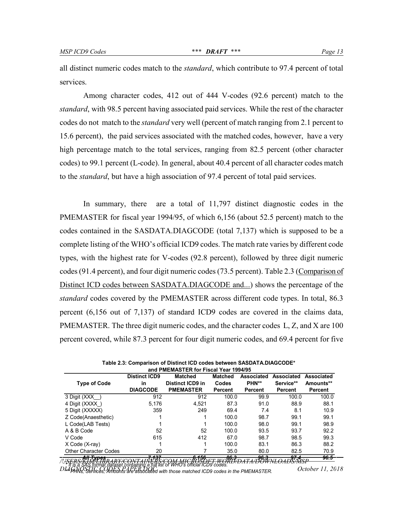all distinct numeric codes match to the *standard*, which contribute to 97.4 percent of total services.

Among character codes, 412 out of 444 V-codes (92.6 percent) match to the *standard*, with 98.5 percent having associated paid services. While the rest of the character codes do not match to the *standard* very well (percent of match ranging from 2.1 percent to 15.6 percent), the paid services associated with the matched codes, however, have a very high percentage match to the total services, ranging from 82.5 percent (other character codes) to 99.1 percent (L-code). In general, about 40.4 percent of all character codes match to the *standard*, but have a high association of 97.4 percent of total paid services.

In summary, there are a total of 11,797 distinct diagnostic codes in the PMEMASTER for fiscal year 1994/95, of which 6,156 (about 52.5 percent) match to the codes contained in the SASDATA.DIAGCODE (total 7,137) which is supposed to be a complete listing of the WHO's official ICD9 codes. The match rate varies by different code types, with the highest rate for V-codes (92.8 percent), followed by three digit numeric codes (91.4 percent), and four digit numeric codes (73.5 percent). Table 2.3 (Comparison of Distinct ICD codes between SASDATA.DIAGCODE and...) shows the percentage of the *standard* codes covered by the PMEMASTER across different code types. In total, 86.3 percent (6,156 out of 7,137) of standard ICD9 codes are covered in the claims data, PMEMASTER. The three digit numeric codes, and the character codes L, Z, and X are 100 percent covered, while 87.3 percent for four digit numeric codes, and 69.4 percent for five

|                              | <b>Distinct ICD9</b> | <b>Matched</b>   | <b>Matched</b> | Associated | Associated  | Associated |
|------------------------------|----------------------|------------------|----------------|------------|-------------|------------|
| <b>Type of Code</b>          | <b>in</b>            | Distinct ICD9 in | Codes          | PHN**      | Service**   | Amounts**  |
|                              | <b>DIAGCODE</b>      | <b>PMEMASTER</b> | Percent        | Percent    | Percent     | Percent    |
| 3 Digit (XXX                 | 912                  | 912              | 100.0          | 99.9       | 100.0       | 100.0      |
| 4 Digit (XXXX)               | 5.176                | 4.521            | 87.3           | 91.0       | 88.9        | 88.1       |
| 5 Digit (XXXXX)              | 359                  | 249              | 69.4           | 7.4        | 8.1         | 10.9       |
| Z Code(Anaesthetic)          |                      |                  | 100.0          | 98.7       | 99.1        | 99.1       |
| L Code(LAB Tests)            |                      |                  | 100.0          | 98.0       | 99.1        | 98.9       |
| A & B Code                   | 52                   | 52               | 100.0          | 93.5       | 93.7        | 92.2       |
| V Code                       | 615                  | 412              | 67.0           | 98.7       | 98.5        | 99.3       |
| X Code (X-ray)               | ٠                    |                  | 100.0          | 83.1       | 86.3        | 88.2       |
| <b>Other Character Codes</b> | 20                   |                  | 35.0           | 80.0       | 82.5        | 70.9       |
| <del>All Tunac</del>         | 7.497<br>--          | <del>6456</del>  | 86 R           | جمه        | $-0.7 - 4.$ | $96 - 5$   |

**Table 2.3: Comparison of Distinct ICD codes between SASDATA.DIAGCODE\* and PMEMASTER for Fiscal Year 1994/95**

*/USERS/KIM/LIBRARY/CONTAINERS/COM.MICROSOFT.WORD/DATA/DOWNLOADS/MSP All Types 7,137 6,156 86.3 96.3 97.4 96.5 Di* H is a SAS format dataset containing a full list of WHO's official ICD9 codes.<br>DLAGNOSTIC CODEGLE PAPERS DRA with those matched ICD9 codes in the PMEMASTER October 11, 2018 *\*\* PHNs, Services, Amounts are associated with those matched ICD9 codes in the PMEMASTER.*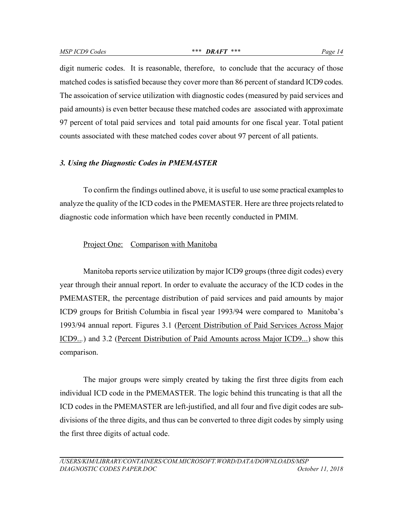digit numeric codes. It is reasonable, therefore, to conclude that the accuracy of those matched codes is satisfied because they cover more than 86 percent of standard ICD9 codes. The assoication of service utilization with diagnostic codes (measured by paid services and paid amounts) is even better because these matched codes are associated with approximate 97 percent of total paid services and total paid amounts for one fiscal year. Total patient counts associated with these matched codes cover about 97 percent of all patients.

#### *3. Using the Diagnostic Codes in PMEMASTER*

To confirm the findings outlined above, it is useful to use some practical examples to analyze the quality of the ICD codes in the PMEMASTER. Here are three projects related to diagnostic code information which have been recently conducted in PMIM.

#### Project One: Comparison with Manitoba

Manitoba reports service utilization by major ICD9 groups (three digit codes) every year through their annual report. In order to evaluate the accuracy of the ICD codes in the PMEMASTER, the percentage distribution of paid services and paid amounts by major ICD9 groups for British Columbia in fiscal year 1993/94 were compared to Manitoba's 1993/94 annual report. Figures 3.1 (Percent Distribution of Paid Services Across Major ICD9..*.*) and 3.2 (Percent Distribution of Paid Amounts across Major ICD9...) show this comparison.

The major groups were simply created by taking the first three digits from each individual ICD code in the PMEMASTER. The logic behind this truncating is that all the ICD codes in the PMEMASTER are left-justified, and all four and five digit codes are subdivisions of the three digits, and thus can be converted to three digit codes by simply using the first three digits of actual code.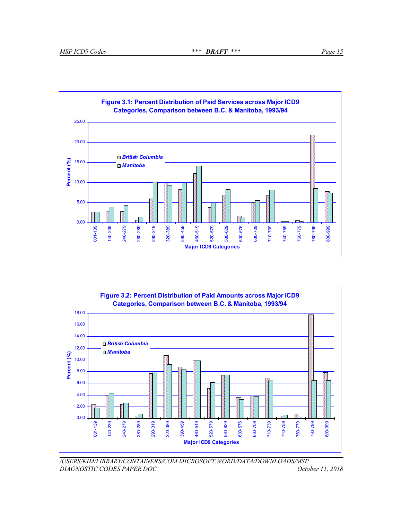



*/USERS/KIM/LIBRARY/CONTAINERS/COM.MICROSOFT.WORD/DATA/DOWNLOADS/MSP DIAGNOSTIC CODES PAPER.DOC October 11, 2018*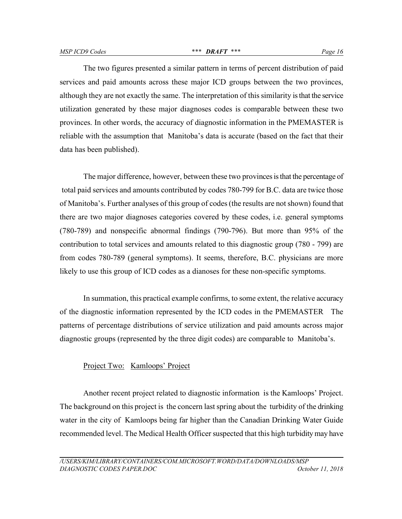The two figures presented a similar pattern in terms of percent distribution of paid services and paid amounts across these major ICD groups between the two provinces, although they are not exactly the same. The interpretation of this similarity is that the service utilization generated by these major diagnoses codes is comparable between these two provinces. In other words, the accuracy of diagnostic information in the PMEMASTER is reliable with the assumption that Manitoba's data is accurate (based on the fact that their data has been published).

The major difference, however, between these two provinces is that the percentage of total paid services and amounts contributed by codes 780-799 for B.C. data are twice those of Manitoba's. Further analyses of this group of codes (the results are not shown) found that there are two major diagnoses categories covered by these codes, i.e. general symptoms (780-789) and nonspecific abnormal findings (790-796). But more than 95% of the contribution to total services and amounts related to this diagnostic group (780 - 799) are from codes 780-789 (general symptoms). It seems, therefore, B.C. physicians are more likely to use this group of ICD codes as a dianoses for these non-specific symptoms.

In summation, this practical example confirms, to some extent, the relative accuracy of the diagnostic information represented by the ICD codes in the PMEMASTER The patterns of percentage distributions of service utilization and paid amounts across major diagnostic groups (represented by the three digit codes) are comparable to Manitoba's.

#### Project Two: Kamloops' Project

Another recent project related to diagnostic information is the Kamloops' Project. The background on this project is the concern last spring about the turbidity of the drinking water in the city of Kamloops being far higher than the Canadian Drinking Water Guide recommended level. The Medical Health Officer suspected that this high turbidity may have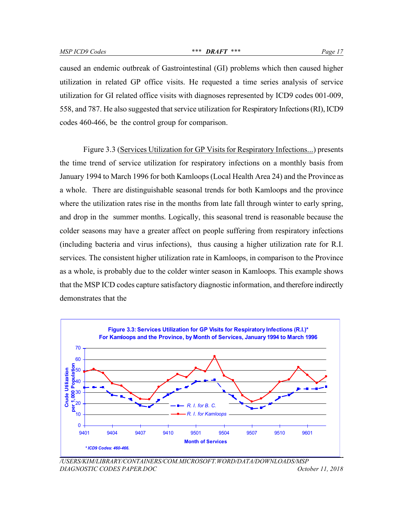caused an endemic outbreak of Gastrointestinal (GI) problems which then caused higher utilization in related GP office visits. He requested a time series analysis of service utilization for GI related office visits with diagnoses represented by ICD9 codes 001-009, 558, and 787. He also suggested that service utilization for Respiratory Infections (RI), ICD9 codes 460-466, be the control group for comparison.

Figure 3.3 (Services Utilization for GP Visits for Respiratory Infections...) presents the time trend of service utilization for respiratory infections on a monthly basis from January 1994 to March 1996 for both Kamloops (Local Health Area 24) and the Province as a whole. There are distinguishable seasonal trends for both Kamloops and the province where the utilization rates rise in the months from late fall through winter to early spring, and drop in the summer months. Logically, this seasonal trend is reasonable because the colder seasons may have a greater affect on people suffering from respiratory infections (including bacteria and virus infections), thus causing a higher utilization rate for R.I. services. The consistent higher utilization rate in Kamloops, in comparison to the Province as a whole, is probably due to the colder winter season in Kamloops. This example shows that the MSP ICD codes capture satisfactory diagnostic information, and therefore indirectly demonstrates that the



*/USERS/KIM/LIBRARY/CONTAINERS/COM.MICROSOFT.WORD/DATA/DOWNLOADS/MSP DIAGNOSTIC CODES PAPER.DOC October 11, 2018*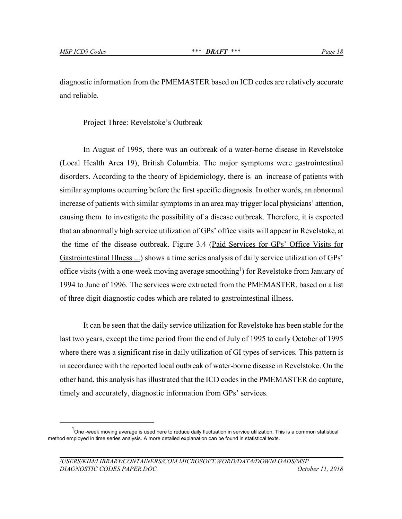<u>.</u>

diagnostic information from the PMEMASTER based on ICD codes are relatively accurate and reliable.

#### Project Three: Revelstoke's Outbreak

In August of 1995, there was an outbreak of a water-borne disease in Revelstoke (Local Health Area 19), British Columbia. The major symptoms were gastrointestinal disorders. According to the theory of Epidemiology, there is an increase of patients with similar symptoms occurring before the first specific diagnosis. In other words, an abnormal increase of patients with similar symptoms in an area may trigger local physicians' attention, causing them to investigate the possibility of a disease outbreak. Therefore, it is expected that an abnormally high service utilization of GPs' office visits will appear in Revelstoke, at the time of the disease outbreak. Figure 3.4 (Paid Services for GPs' Office Visits for Gastrointestinal Illness ...) shows a time series analysis of daily service utilization of GPs' office visits (with a one-week moving average smoothing<sup>1</sup>) for Revelstoke from January of 1994 to June of 1996. The services were extracted from the PMEMASTER, based on a list of three digit diagnostic codes which are related to gastrointestinal illness.

It can be seen that the daily service utilization for Revelstoke has been stable for the last two years, except the time period from the end of July of 1995 to early October of 1995 where there was a significant rise in daily utilization of GI types of services. This pattern is in accordance with the reported local outbreak of water-borne disease in Revelstoke. On the other hand, this analysis has illustrated that the ICD codes in the PMEMASTER do capture, timely and accurately, diagnostic information from GPs' services.

<sup>&</sup>lt;sup>1</sup>One -week moving average is used here to reduce daily fluctuation in service utilization. This is a common statistical method employed in time series analysis. A more detailed explanation can be found in statistical texts.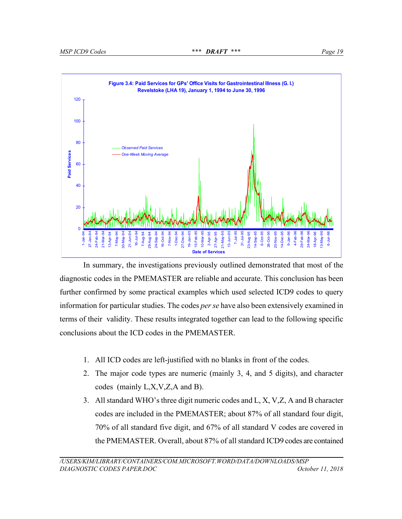

In summary, the investigations previously outlined demonstrated that most of the diagnostic codes in the PMEMASTER are reliable and accurate. This conclusion has been further confirmed by some practical examples which used selected ICD9 codes to query information for particular studies. The codes *per se* have also been extensively examined in terms of their validity. These results integrated together can lead to the following specific conclusions about the ICD codes in the PMEMASTER.

- 1. All ICD codes are left-justified with no blanks in front of the codes.
- 2. The major code types are numeric (mainly 3, 4, and 5 digits), and character codes (mainly L,X,V,Z,A and B).
- 3. All standard WHO's three digit numeric codes and L, X, V,Z, A and B character codes are included in the PMEMASTER; about 87% of all standard four digit, 70% of all standard five digit, and 67% of all standard V codes are covered in the PMEMASTER. Overall, about 87% of all standard ICD9 codes are contained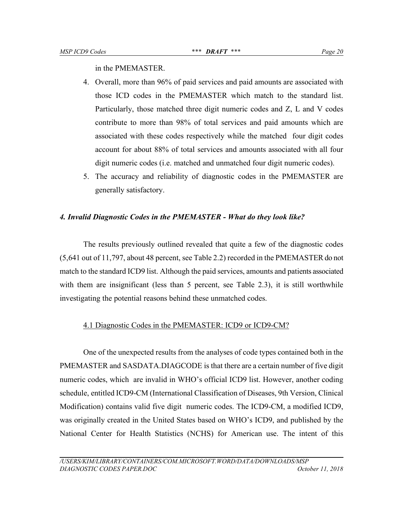in the PMEMASTER.

- 4. Overall, more than 96% of paid services and paid amounts are associated with those ICD codes in the PMEMASTER which match to the standard list. Particularly, those matched three digit numeric codes and Z, L and V codes contribute to more than 98% of total services and paid amounts which are associated with these codes respectively while the matched four digit codes account for about 88% of total services and amounts associated with all four digit numeric codes (i.e. matched and unmatched four digit numeric codes).
- 5. The accuracy and reliability of diagnostic codes in the PMEMASTER are generally satisfactory.

#### *4. Invalid Diagnostic Codes in the PMEMASTER - What do they look like?*

The results previously outlined revealed that quite a few of the diagnostic codes (5,641 out of 11,797, about 48 percent, see Table 2.2) recorded in the PMEMASTER do not match to the standard ICD9 list. Although the paid services, amounts and patients associated with them are insignificant (less than 5 percent, see Table 2.3), it is still worthwhile investigating the potential reasons behind these unmatched codes.

#### 4.1 Diagnostic Codes in the PMEMASTER: ICD9 or ICD9-CM?

One of the unexpected results from the analyses of code types contained both in the PMEMASTER and SASDATA.DIAGCODE is that there are a certain number of five digit numeric codes, which are invalid in WHO's official ICD9 list. However, another coding schedule, entitled ICD9-CM (International Classification of Diseases, 9th Version, Clinical Modification) contains valid five digit numeric codes. The ICD9-CM, a modified ICD9, was originally created in the United States based on WHO's ICD9, and published by the National Center for Health Statistics (NCHS) for American use. The intent of this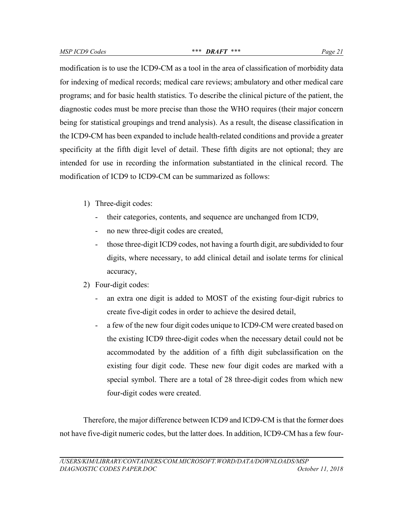modification is to use the ICD9-CM as a tool in the area of classification of morbidity data for indexing of medical records; medical care reviews; ambulatory and other medical care programs; and for basic health statistics. To describe the clinical picture of the patient, the diagnostic codes must be more precise than those the WHO requires (their major concern being for statistical groupings and trend analysis). As a result, the disease classification in the ICD9-CM has been expanded to include health-related conditions and provide a greater specificity at the fifth digit level of detail. These fifth digits are not optional; they are intended for use in recording the information substantiated in the clinical record. The modification of ICD9 to ICD9-CM can be summarized as follows:

- 1) Three-digit codes:
	- their categories, contents, and sequence are unchanged from ICD9,
	- no new three-digit codes are created,
	- those three-digit ICD9 codes, not having a fourth digit, are subdivided to four digits, where necessary, to add clinical detail and isolate terms for clinical accuracy,
- 2) Four-digit codes:
	- an extra one digit is added to MOST of the existing four-digit rubrics to create five-digit codes in order to achieve the desired detail,
	- a few of the new four digit codes unique to ICD9-CM were created based on the existing ICD9 three-digit codes when the necessary detail could not be accommodated by the addition of a fifth digit subclassification on the existing four digit code. These new four digit codes are marked with a special symbol. There are a total of 28 three-digit codes from which new four-digit codes were created.

Therefore, the major difference between ICD9 and ICD9-CM is that the former does not have five-digit numeric codes, but the latter does. In addition, ICD9-CM has a few four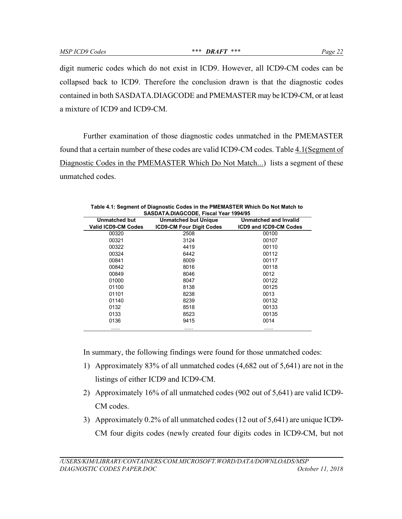digit numeric codes which do not exist in ICD9. However, all ICD9-CM codes can be collapsed back to ICD9. Therefore the conclusion drawn is that the diagnostic codes contained in both SASDATA.DIAGCODE and PMEMASTER may be ICD9-CM, or at least a mixture of ICD9 and ICD9-CM.

Further examination of those diagnostic codes unmatched in the PMEMASTER found that a certain number of these codes are valid ICD9-CM codes. Table 4.1(Segment of Diagnostic Codes in the PMEMASTER Which Do Not Match...) lists a segment of these unmatched codes.

| SASDATA.DIAGCODE, FISCAL TEAT 1994/95 |                                 |                               |  |  |  |  |  |  |
|---------------------------------------|---------------------------------|-------------------------------|--|--|--|--|--|--|
| <b>Unmatched but</b>                  | <b>Unmatched but Unique</b>     | Unmatched and Invalid         |  |  |  |  |  |  |
| <b>Valid ICD9-CM Codes</b>            | <b>ICD9-CM Four Digit Codes</b> | <b>ICD9 and ICD9-CM Codes</b> |  |  |  |  |  |  |
| 00320                                 | 2508                            | 00100                         |  |  |  |  |  |  |
| 00321                                 | 3124                            | 00107                         |  |  |  |  |  |  |
| 00322                                 | 4419                            | 00110                         |  |  |  |  |  |  |
| 00324                                 | 6442                            | 00112                         |  |  |  |  |  |  |
| 00841                                 | 8009                            | 00117                         |  |  |  |  |  |  |
| 00842                                 | 8016                            | 00118                         |  |  |  |  |  |  |
| 00849                                 | 8046                            | 0012                          |  |  |  |  |  |  |
| 01000                                 | 8047                            | 00122                         |  |  |  |  |  |  |
| 01100                                 | 8138                            | 00125                         |  |  |  |  |  |  |
| 01101                                 | 8238                            | 0013                          |  |  |  |  |  |  |
| 01140                                 | 8239                            | 00132                         |  |  |  |  |  |  |
| 0132                                  | 8518                            | 00133                         |  |  |  |  |  |  |
| 0133                                  | 8523                            | 00135                         |  |  |  |  |  |  |
| 0136                                  | 9415                            | 0014                          |  |  |  |  |  |  |
|                                       |                                 |                               |  |  |  |  |  |  |

| Table 4.1: Segment of Diagnostic Codes in the PMEMASTER Which Do Not Match to |
|-------------------------------------------------------------------------------|
| SASDATA.DIAGCODE, Fiscal Year 1994/95                                         |

In summary, the following findings were found for those unmatched codes:

- 1) Approximately 83% of all unmatched codes (4,682 out of 5,641) are not in the listings of either ICD9 and ICD9-CM.
- 2) Approximately 16% of all unmatched codes (902 out of 5,641) are valid ICD9- CM codes.
- 3) Approximately 0.2% of all unmatched codes (12 out of 5,641) are unique ICD9- CM four digits codes (newly created four digits codes in ICD9-CM, but not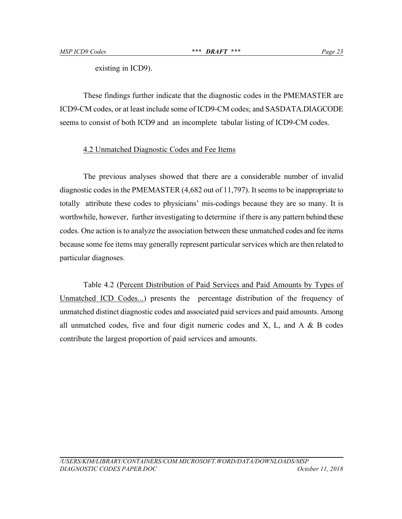existing in ICD9).

These findings further indicate that the diagnostic codes in the PMEMASTER are ICD9-CM codes, or at least include some of ICD9-CM codes; and SASDATA.DIAGCODE seems to consist of both ICD9 and an incomplete tabular listing of ICD9-CM codes.

## 4.2 Unmatched Diagnostic Codes and Fee Items

The previous analyses showed that there are a considerable number of invalid diagnostic codes in the PMEMASTER (4,682 out of 11,797). It seems to be inappropriate to totally attribute these codes to physicians' mis-codings because they are so many. It is worthwhile, however, further investigating to determine if there is any pattern behind these codes. One action is to analyze the association between these unmatched codes and fee items because some fee items may generally represent particular services which are then related to particular diagnoses.

Table 4.2 (Percent Distribution of Paid Services and Paid Amounts by Types of Unmatched ICD Codes...) presents the percentage distribution of the frequency of unmatched distinct diagnostic codes and associated paid services and paid amounts. Among all unmatched codes, five and four digit numeric codes and  $X$ ,  $L$ , and  $A \& B$  codes contribute the largest proportion of paid services and amounts.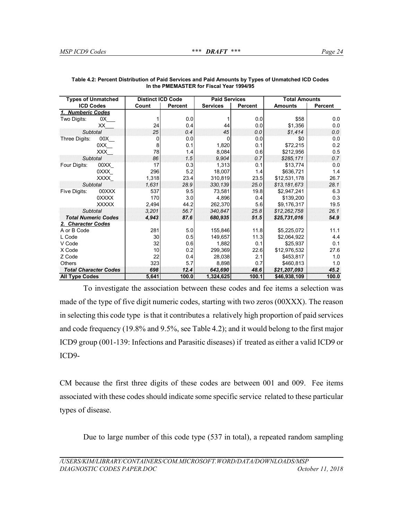| <b>Types of Unmatched</b>    | <b>Distinct ICD Code</b> |                | <b>Paid Services</b> |         | <b>Total Amounts</b> |         |  |
|------------------------------|--------------------------|----------------|----------------------|---------|----------------------|---------|--|
| <b>ICD Codes</b>             | Count                    | <b>Percent</b> | <b>Services</b>      | Percent | <b>Amounts</b>       | Percent |  |
| 1. Numberic Codes            |                          |                |                      |         |                      |         |  |
| Two Digits:<br>0X            |                          | 0.0            |                      | 0.0     | \$58                 | 0.0     |  |
| XX                           | 24                       | 0.4            | 44                   | 0.0     | \$1,356              | 0.0     |  |
| Subtotal                     | 25                       | 0.4            | 45                   | 0.0     | \$1,414              | 0.0     |  |
| 00X<br>Three Digits:         | 0                        | 0.0            | O                    | 0.0     | \$0                  | 0.0     |  |
| 0XX                          | 8                        | 0.1            | 1,820                | 0.1     | \$72,215             | 0.2     |  |
| <b>XXX</b>                   | 78                       | 1.4            | 8,084                | 0.6     | \$212,956            | 0.5     |  |
| Subtotal                     | 86                       | 1.5            | 9.904                | 0.7     | \$285.171            | 0.7     |  |
| Four Digits:<br>00XX         | 17                       | 0.3            | 1,313                | 0.1     | \$13,774             | 0.0     |  |
| 0XXX                         | 296                      | 5.2            | 18,007               | 1.4     | \$636,721            | 1.4     |  |
| <b>XXXX</b>                  | 1,318                    | 23.4           | 310,819              | 23.5    | \$12,531,178         | 26.7    |  |
| <b>Subtotal</b>              | 1,631                    | 28.9           | 330,139              | 25.0    | \$13,181,673         | 28.1    |  |
| 00XXX<br>Five Digits:        | 537                      | 9.5            | 73.581               | 19.8    | \$2,947,241          | 6.3     |  |
| 0XXXX                        | 170                      | 3.0            | 4,896                | 0.4     | \$139,200            | 0.3     |  |
| <b>XXXXX</b>                 | 2,494                    | 44.2           | 262,370              | 5.6     | \$9,176,317          | 19.5    |  |
| Subtotal                     | 3,201                    | 56.7           | 340.847              | 25.8    | \$12,262,758         | 26.1    |  |
| <b>Total Numeric Codes</b>   | 4,943                    | 87.6           | 680,935              | 51.5    | \$25,731,016         | 54.9    |  |
| 2. Character Codes           |                          |                |                      |         |                      |         |  |
| A or B Code                  | 281                      | 5.0            | 155,846              | 11.8    | \$5,225,072          | 11.1    |  |
| L Code                       | 30                       | 0.5            | 149,657              | 11.3    | \$2.064.922          | 4.4     |  |
| V Code                       | 32                       | 0.6            | 1.882                | 0.1     | \$25.937             | 0.1     |  |
| X Code                       | 10                       | 0.2            | 299,369              | 22.6    | \$12,976,532         | 27.6    |  |
| Z Code                       | 22                       | 0.4            | 28,038               | 2.1     | \$453,817            | 1.0     |  |
| Others                       | 323                      | 5.7            | 8,898                | 0.7     | \$460,813            | 1.0     |  |
| <b>Total Character Codes</b> | 698                      | 12.4           | 643,690              | 48.6    | \$21,207,093         | 45.2    |  |
| <b>All Type Codes</b>        | 5,641                    | 100.0          | 1,324,625            | 100.1   | \$46,938,109         | 100.0   |  |

| Table 4.2: Percent Distribution of Paid Services and Paid Amounts by Types of Unmatched ICD Codes |
|---------------------------------------------------------------------------------------------------|
| In the PMEMASTER for Fiscal Year 1994/95                                                          |

To investigate the association between these codes and fee items a selection was made of the type of five digit numeric codes, starting with two zeros (00XXX). The reason in selecting this code type is that it contributes a relatively high proportion of paid services and code frequency (19.8% and 9.5%, see Table 4.2); and it would belong to the first major ICD9 group (001-139: Infections and Parasitic diseases) if treated as either a valid ICD9 or ICD9-

CM because the first three digits of these codes are between 001 and 009. Fee items associated with these codes should indicate some specific service related to these particular types of disease.

Due to large number of this code type (537 in total), a repeated random sampling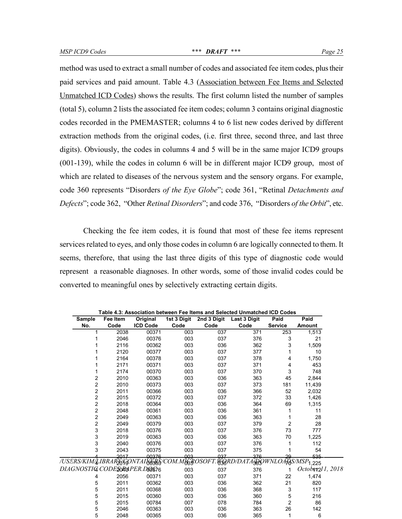method was used to extract a small number of codes and associated fee item codes, plus their paid services and paid amount. Table 4.3 (Association between Fee Items and Selected Unmatched ICD Codes) shows the results. The first column listed the number of samples (total 5), column 2 lists the associated fee item codes; column 3 contains original diagnostic codes recorded in the PMEMASTER; columns 4 to 6 list new codes derived by different extraction methods from the original codes, (i.e. first three, second three, and last three digits). Obviously, the codes in columns 4 and 5 will be in the same major ICD9 groups (001-139), while the codes in column 6 will be in different major ICD9 group, most of which are related to diseases of the nervous system and the sensory organs. For example, code 360 represents "Disorders *of the Eye Globe*"; code 361, "Retinal *Detachments and Defects*"; code 362, "Other *Retinal Disorders*"; and code 376, "Disorders *of the Orbit*", etc.

Checking the fee item codes, it is found that most of these fee items represent services related to eyes, and only those codes in column 6 are logically connected to them. It seems, therefore, that using the last three digits of this type of diagnostic code would represent a reasonable diagnoses. In other words, some of those invalid codes could be converted to meaningful ones by selectively extracting certain digits.

|                                          | Table 4.3: Association between Fee Items and Selected Unmatched ICD Codes |                 |             |             |                                                                                      |                |                              |  |  |
|------------------------------------------|---------------------------------------------------------------------------|-----------------|-------------|-------------|--------------------------------------------------------------------------------------|----------------|------------------------------|--|--|
| <b>Sample</b>                            | Fee Item                                                                  | Original        | 1st 3 Digit | 2nd 3 Digit | <b>Last 3 Digit</b>                                                                  | Paid           | Paid                         |  |  |
| No.                                      | Code                                                                      | <b>ICD Code</b> | Code        | Code        | Code                                                                                 | <b>Service</b> | <b>Amount</b>                |  |  |
| 1                                        | 2038                                                                      | 00371           | 003         | 037         | 371                                                                                  | 253            | 1,513                        |  |  |
| 1                                        | 2046                                                                      | 00376           | 003         | 037         | 376                                                                                  | 3              | 21                           |  |  |
|                                          | 2116                                                                      | 00362           | 003         | 036         | 362                                                                                  | 3              | 1,509                        |  |  |
|                                          | 2120                                                                      | 00377           | 003         | 037         | 377                                                                                  | 1              | 10                           |  |  |
|                                          | 2164                                                                      | 00378           | 003         | 037         | 378                                                                                  | 4              | 1,750                        |  |  |
|                                          | 2171                                                                      | 00371           | 003         | 037         | 371                                                                                  | 4              | 453                          |  |  |
| 1                                        | 2174                                                                      | 00370           | 003         | 037         | 370                                                                                  | 3              | 748                          |  |  |
| $\overline{2}$                           | 2010                                                                      | 00363           | 003         | 036         | 363                                                                                  | 45             | 2,844                        |  |  |
| 2                                        | 2010                                                                      | 00373           | 003         | 037         | 373                                                                                  | 181            | 11,439                       |  |  |
| 2                                        | 2011                                                                      | 00366           | 003         | 036         | 366                                                                                  | 52             | 2,032                        |  |  |
| $\overline{2}$                           | 2015                                                                      | 00372           | 003         | 037         | 372                                                                                  | 33             | 1,426                        |  |  |
| 2                                        | 2018                                                                      | 00364           | 003         | 036         | 364                                                                                  | 69             | 1,315                        |  |  |
| $\overline{c}$                           | 2048                                                                      | 00361           | 003         | 036         | 361                                                                                  | 1              | 11                           |  |  |
| 2                                        | 2049                                                                      | 00363           | 003         | 036         | 363                                                                                  |                | 28                           |  |  |
| $\overline{c}$                           | 2049                                                                      | 00379           | 003         | 037         | 379                                                                                  | $\overline{c}$ | 28                           |  |  |
| 3                                        | 2018                                                                      | 00376           | 003         | 037         | 376                                                                                  | 73             | 777                          |  |  |
| 3                                        | 2019                                                                      | 00363           | 003         | 036         | 363                                                                                  | 70             | 1,225                        |  |  |
| 3                                        | 2040                                                                      | 00376           | 003         | 037         | 376                                                                                  | 1              | 112                          |  |  |
| 3                                        | 2043                                                                      | 00375           | 003         | 037         | 375                                                                                  |                | 54                           |  |  |
|                                          | 2017                                                                      | 00376           | 003         | 037         | 376                                                                                  | 29             | 535                          |  |  |
|                                          |                                                                           |                 |             |             | USERS/KIM/LIBRARŽGGONTAINĒRŠ/COM.MIGROSOFT.WGRD/DATAJOOWNLOAF0S/MSP <sub>1.225</sub> |                |                              |  |  |
| DIAGNOSTIG CODE <b>SOR</b> olPER.DOO\$76 |                                                                           |                 | 003         | 037         | 376                                                                                  | 1              | October <sub>2</sub> 1, 2018 |  |  |
| 4                                        | 2056                                                                      | 00371           | 003         | 037         | 371                                                                                  | 22             | 1,474                        |  |  |
| 5                                        | 2011                                                                      | 00362           | 003         | 036         | 362                                                                                  | 21             | 820                          |  |  |
| 5                                        | 2011                                                                      | 00368           | 003         | 036         | 368                                                                                  | 3              | 117                          |  |  |
| 5                                        | 2015                                                                      | 00360           | 003         | 036         | 360                                                                                  | 5              | 216                          |  |  |
| 5                                        | 2015                                                                      | 00784           | 007         | 078         | 784                                                                                  | $\overline{2}$ | 86                           |  |  |
| 5                                        | 2046                                                                      | 00363           | 003         | 036         | 363                                                                                  | 26             | 142                          |  |  |
| 5                                        | 2048                                                                      | 00365           | 003         | 036         | 365                                                                                  | 1              | 6                            |  |  |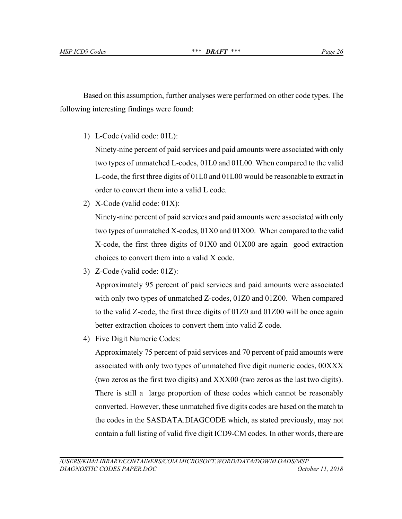Based on this assumption, further analyses were performed on other code types. The following interesting findings were found:

1) L-Code (valid code: 01L):

Ninety-nine percent of paid services and paid amounts were associated with only two types of unmatched L-codes, 01L0 and 01L00. When compared to the valid L-code, the first three digits of 01L0 and 01L00 would be reasonable to extract in order to convert them into a valid L code.

2) X-Code (valid code: 01X):

Ninety-nine percent of paid services and paid amounts were associated with only two types of unmatched X-codes, 01X0 and 01X00. When compared to the valid X-code, the first three digits of 01X0 and 01X00 are again good extraction choices to convert them into a valid X code.

3) Z-Code (valid code: 01Z):

Approximately 95 percent of paid services and paid amounts were associated with only two types of unmatched Z-codes, 01Z0 and 01Z00. When compared to the valid Z-code, the first three digits of 01Z0 and 01Z00 will be once again better extraction choices to convert them into valid Z code.

4) Five Digit Numeric Codes:

Approximately 75 percent of paid services and 70 percent of paid amounts were associated with only two types of unmatched five digit numeric codes, 00XXX (two zeros as the first two digits) and XXX00 (two zeros as the last two digits). There is still a large proportion of these codes which cannot be reasonably converted. However, these unmatched five digits codes are based on the match to the codes in the SASDATA.DIAGCODE which, as stated previously, may not contain a full listing of valid five digit ICD9-CM codes. In other words, there are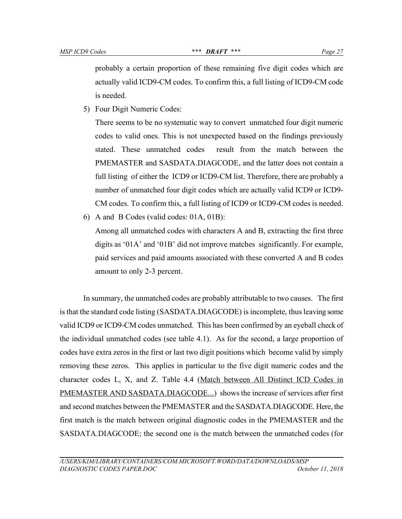probably a certain proportion of these remaining five digit codes which are actually valid ICD9-CM codes. To confirm this, a full listing of ICD9-CM code is needed.

5) Four Digit Numeric Codes:

There seems to be no systematic way to convert unmatched four digit numeric codes to valid ones. This is not unexpected based on the findings previously stated. These unmatched codes result from the match between the PMEMASTER and SASDATA.DIAGCODE, and the latter does not contain a full listing of either the ICD9 or ICD9-CM list. Therefore, there are probably a number of unmatched four digit codes which are actually valid ICD9 or ICD9- CM codes. To confirm this, a full listing of ICD9 or ICD9-CM codes is needed.

6) A and B Codes (valid codes: 01A, 01B):

Among all unmatched codes with characters A and B, extracting the first three digits as '01A' and '01B' did not improve matches significantly. For example, paid services and paid amounts associated with these converted A and B codes amount to only 2-3 percent.

In summary, the unmatched codes are probably attributable to two causes. The first is that the standard code listing (SASDATA.DIAGCODE) is incomplete, thus leaving some valid ICD9 or ICD9-CM codes unmatched. This has been confirmed by an eyeball check of the individual unmatched codes (see table 4.1). As for the second, a large proportion of codes have extra zeros in the first or last two digit positions which become valid by simply removing these zeros. This applies in particular to the five digit numeric codes and the character codes L, X, and Z. Table 4.4 (Match between All Distinct ICD Codes in PMEMASTER AND SASDATA.DIAGCODE...) shows the increase of services after first and second matches between the PMEMASTER and the SASDATA.DIAGCODE. Here, the first match is the match between original diagnostic codes in the PMEMASTER and the SASDATA.DIAGCODE; the second one is the match between the unmatched codes (for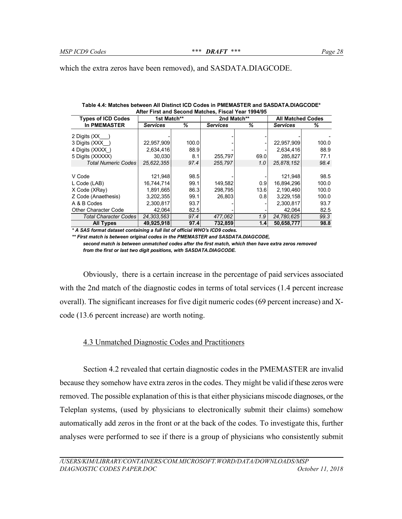which the extra zeros have been removed), and SASDATA.DIAGCODE.

| After First and Second Matches, Fiscal Year 1994/95 |                 |       |                 |      |                 |                          |  |  |  |
|-----------------------------------------------------|-----------------|-------|-----------------|------|-----------------|--------------------------|--|--|--|
| <b>Types of ICD Codes</b><br>1st Match**            |                 |       | 2nd Match**     |      |                 | <b>All Matched Codes</b> |  |  |  |
| <b>In PMEMASTER</b>                                 | <b>Services</b> | ℅     | <b>Services</b> | %    | <b>Services</b> | %                        |  |  |  |
| 2 Digits $(XX)$                                     |                 |       |                 |      |                 |                          |  |  |  |
| 3 Digits (XXX)                                      | 22,957,909      | 100.0 |                 |      | 22,957,909      | 100.0                    |  |  |  |
| 4 Digits (XXXX)                                     | 2,634,416       | 88.9  |                 |      | 2,634,416       | 88.9                     |  |  |  |
| 5 Digits (XXXXX)                                    | 30,030          | 8.1   | 255,797         | 69.0 | 285,827         | 77.1                     |  |  |  |
| <b>Total Numeric Codes</b>                          | 25,622,355      | 97.4  | 255,797         | 1.0  | 25,878,152      | 98.4                     |  |  |  |
|                                                     |                 |       |                 |      |                 |                          |  |  |  |
| V Code                                              | 121,948         | 98.5  |                 |      | 121,948         | 98.5                     |  |  |  |
| L Code (LAB)                                        | 16,744,714      | 99.1  | 149.582         | 0.9  | 16,894,296      | 100.0                    |  |  |  |
| X Code (XRay)                                       | 1,891,665       | 86.3  | 298.795         | 13.6 | 2,190,460       | 100.0                    |  |  |  |
| Z Code (Anaethesis)                                 | 3,202,355       | 99.1  | 26.803          | 0.81 | 3,229,158       | 100.0                    |  |  |  |
| A & B Codes                                         | 2,300,817       | 93.7  |                 |      | 2,300,817       | 93.7                     |  |  |  |
| Other Character Code                                | 42,064          | 82.5  |                 |      | 42.064          | 82.5                     |  |  |  |
| Total Character Codes                               | 24, 303, 563    | 97.4  | 477.062         | 1.9  | 24.780.625      | 99.3                     |  |  |  |
| All Types                                           | 49,925,918      | 97.4  | 732.859         | 14   | 50.658.777      | 98.8                     |  |  |  |

**Table 4.4: Matches between All Distinct ICD Codes in PMEMASTER and SASDATA.DIAGCODE\***

*\* A SAS format dataset containing a full list of official WHO's ICD9 codes.*

*\*\* First match is between original codes in the PMEMASTER and SASDATA.DIAGCODE, second match is between unmatched codes after the first match, which then have extra zeros removed from the first or last two digit positions, with SASDATA.DIAGCODE.*

Obviously, there is a certain increase in the percentage of paid services associated with the 2nd match of the diagnostic codes in terms of total services (1.4 percent increase overall). The significant increases for five digit numeric codes (69 percent increase) and Xcode (13.6 percent increase) are worth noting.

#### 4.3 Unmatched Diagnostic Codes and Practitioners

Section 4.2 revealed that certain diagnostic codes in the PMEMASTER are invalid because they somehow have extra zeros in the codes. They might be valid if these zeros were removed. The possible explanation of this is that either physicians miscode diagnoses, or the Teleplan systems, (used by physicians to electronically submit their claims) somehow automatically add zeros in the front or at the back of the codes. To investigate this, further analyses were performed to see if there is a group of physicians who consistently submit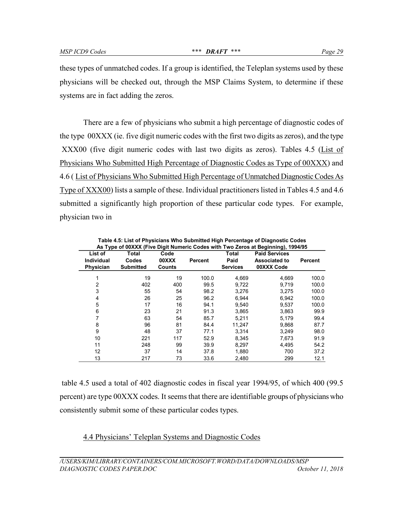these types of unmatched codes. If a group is identified, the Teleplan systems used by these physicians will be checked out, through the MSP Claims System, to determine if these systems are in fact adding the zeros.

There are a few of physicians who submit a high percentage of diagnostic codes of the type 00XXX (ie. five digit numeric codes with the first two digits as zeros), and the type XXX00 (five digit numeric codes with last two digits as zeros). Tables 4.5 (List of Physicians Who Submitted High Percentage of Diagnostic Codes as Type of 00XXX) and 4.6 ( List of Physicians Who Submitted High Percentage of Unmatched Diagnostic Codes As Type of XXX00) lists a sample of these. Individual practitioners listed in Tables 4.5 and 4.6 submitted a significantly high proportion of these particular code types. For example, physician two in

| List of<br><b>Individual</b><br>Physician | Total<br>Codes<br><b>Submitted</b> | Code<br>00XXX<br>Counts | Percent | Total<br>Paid<br><b>Services</b> | <b>Paid Services</b><br><b>Associated to</b><br>00XXX Code | Percent |
|-------------------------------------------|------------------------------------|-------------------------|---------|----------------------------------|------------------------------------------------------------|---------|
|                                           |                                    |                         |         |                                  |                                                            |         |
|                                           | 19                                 | 19                      | 100.0   | 4,669                            | 4,669                                                      | 100.0   |
| 2                                         | 402                                | 400                     | 99.5    | 9.722                            | 9.719                                                      | 100.0   |
| 3                                         | 55                                 | 54                      | 98.2    | 3.276                            | 3.275                                                      | 100.0   |
| 4                                         | 26                                 | 25                      | 96.2    | 6.944                            | 6.942                                                      | 100.0   |
| 5                                         | 17                                 | 16                      | 94.1    | 9,540                            | 9,537                                                      | 100.0   |
| 6                                         | 23                                 | 21                      | 91.3    | 3,865                            | 3,863                                                      | 99.9    |
| 7                                         | 63                                 | 54                      | 85.7    | 5.211                            | 5.179                                                      | 99.4    |
| 8                                         | 96                                 | 81                      | 84.4    | 11.247                           | 9.868                                                      | 87.7    |
| 9                                         | 48                                 | 37                      | 77.1    | 3.314                            | 3.249                                                      | 98.0    |
| 10                                        | 221                                | 117                     | 52.9    | 8,345                            | 7.673                                                      | 91.9    |
| 11                                        | 248                                | 99                      | 39.9    | 8,297                            | 4.495                                                      | 54.2    |
| 12                                        | 37                                 | 14                      | 37.8    | 1,880                            | 700                                                        | 37.2    |
| 13                                        | 217                                | 73                      | 33.6    | 2.480                            | 299                                                        | 12.1    |

**Table 4.5: List of Physicians Who Submitted High Percentage of Diagnostic Codes As Type of 00XXX (Five Digit Numeric Codes with Two Zeros at Beginning), 1994/95**

table 4.5 used a total of 402 diagnostic codes in fiscal year 1994/95, of which 400 (99.5 percent) are type 00XXX codes. It seems that there are identifiable groups of physicians who consistently submit some of these particular codes types.

4.4 Physicians' Teleplan Systems and Diagnostic Codes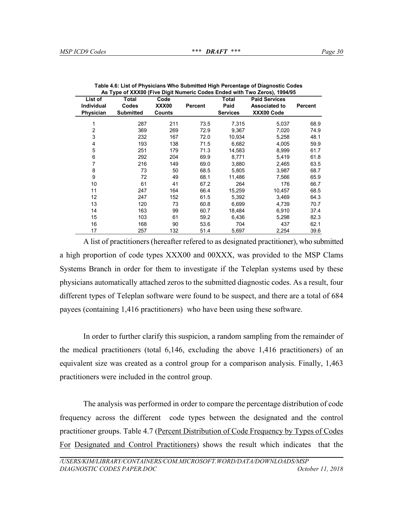| List of           | Total            | Code          |                | Total           | <b>Paid Services</b> |         |
|-------------------|------------------|---------------|----------------|-----------------|----------------------|---------|
| <b>Individual</b> | Codes            | XXX00         | <b>Percent</b> | Paid            | <b>Associated to</b> | Percent |
| Physician         | <b>Submitted</b> | <b>Counts</b> |                | <b>Services</b> | XXX00 Code           |         |
|                   | 287              | 211           | 73.5           | 7,315           | 5,037                | 68.9    |
| 2                 | 369              | 269           | 72.9           | 9,367           | 7,020                | 74.9    |
| 3                 | 232              | 167           | 72.0           | 10,934          | 5,258                | 48.1    |
| 4                 | 193              | 138           | 71.5           | 6,682           | 4.005                | 59.9    |
| 5                 | 251              | 179           | 71.3           | 14,583          | 8,999                | 61.7    |
| 6                 | 292              | 204           | 69.9           | 8,771           | 5,419                | 61.8    |
| 7                 | 216              | 149           | 69.0           | 3,880           | 2.465                | 63.5    |
| 8                 | 73               | 50            | 68.5           | 5,805           | 3,987                | 68.7    |
| 9                 | 72               | 49            | 68.1           | 11,486          | 7,566                | 65.9    |
| 10                | 61               | 41            | 67.2           | 264             | 176                  | 66.7    |
| 11                | 247              | 164           | 66.4           | 15,259          | 10,457               | 68.5    |
| 12                | 247              | 152           | 61.5           | 5,392           | 3,469                | 64.3    |
| 13                | 120              | 73            | 60.8           | 6,699           | 4,739                | 70.7    |
| 14                | 163              | 99            | 60.7           | 18,484          | 6,910                | 37.4    |
| 15                | 103              | 61            | 59.2           | 6,436           | 5,298                | 82.3    |
| 16                | 168              | 90            | 53.6           | 704             | 437                  | 62.1    |
| 17                | 257              | 132           | 51.4           | 5,697           | 2,254                | 39.6    |

**Table 4.6: List of Physicians Who Submitted High Percentage of Diagnostic Codes As Type of XXX00 (Five Digit Numeric Codes Ended with Two Zeros), 1994/95**

A list of practitioners (hereafter refered to as designated practitioner), who submitted a high proportion of code types XXX00 and 00XXX, was provided to the MSP Clams Systems Branch in order for them to investigate if the Teleplan systems used by these physicians automatically attached zeros to the submitted diagnostic codes. As a result, four different types of Teleplan software were found to be suspect, and there are a total of 684 payees (containing 1,416 practitioners) who have been using these software.

In order to further clarify this suspicion, a random sampling from the remainder of the medical practitioners (total 6,146, excluding the above 1,416 practitioners) of an equivalent size was created as a control group for a comparison analysis. Finally, 1,463 practitioners were included in the control group.

The analysis was performed in order to compare the percentage distribution of code frequency across the different code types between the designated and the control practitioner groups. Table 4.7 (Percent Distribution of Code Frequency by Types of Codes For Designated and Control Practitioners) shows the result which indicates that the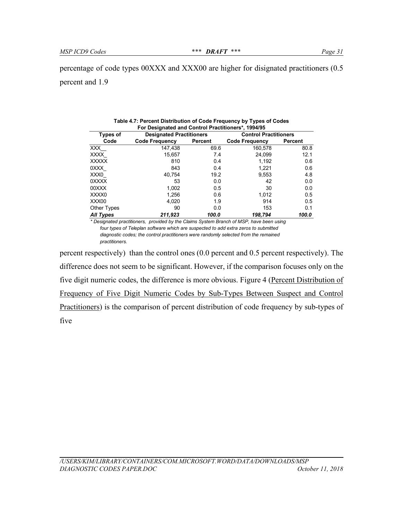| For Designated and Control Practitioners*, 1994/95 |                                 |         |                              |                |  |  |
|----------------------------------------------------|---------------------------------|---------|------------------------------|----------------|--|--|
| <b>Types of</b>                                    | <b>Designated Practitioners</b> |         | <b>Control Practitioners</b> |                |  |  |
| Code                                               | <b>Code Frequency</b>           | Percent | <b>Code Frequency</b>        | <b>Percent</b> |  |  |
| XXX.                                               | 147,438                         | 69.6    | 160,578                      | 80.8           |  |  |
| XXXX                                               | 15,657                          | 7.4     | 24,099                       | 12.1           |  |  |
| XXXXX                                              | 810                             | 0.4     | 1,192                        | 0.6            |  |  |
| 0XXX                                               | 843                             | 0.4     | 1,221                        | 0.6            |  |  |
| XXX0                                               | 40,754                          | 19.2    | 9,553                        | 4.8            |  |  |
| 0XXXX                                              | 53                              | 0.0     | 42                           | 0.0            |  |  |
| 00XXX                                              | 1,002                           | 0.5     | 30                           | 0.0            |  |  |
| XXXX0                                              | 1,256                           | 0.6     | 1,012                        | 0.5            |  |  |
| XXX00                                              | 4,020                           | 1.9     | 914                          | 0.5            |  |  |
| Other Types                                        | 90                              | 0.0     | 153                          | 0.1            |  |  |
| All Types                                          | 211,923                         | 100.0   | 198.794                      | 100.0          |  |  |

**Table 4.7: Percent Distribution of Code Frequency by Types of Codes**

*\* Designated practitioners, provided by the Claims System Branch of MSP, have been using four types of Teleplan software which are suspected to add extra zeros to submitted diagnostic codes; the control practitioners were randomly selected from the remained practitioners.*

percent respectively) than the control ones (0.0 percent and 0.5 percent respectively). The difference does not seem to be significant. However, if the comparison focuses only on the five digit numeric codes, the difference is more obvious. Figure 4 (Percent Distribution of Frequency of Five Digit Numeric Codes by Sub-Types Between Suspect and Control Practitioners) is the comparison of percent distribution of code frequency by sub-types of five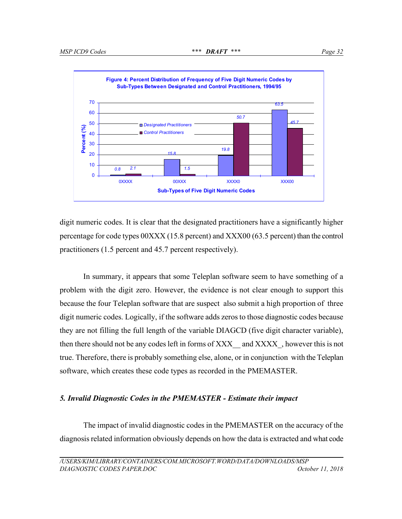

digit numeric codes. It is clear that the designated practitioners have a significantly higher percentage for code types 00XXX (15.8 percent) and XXX00 (63.5 percent) than the control practitioners (1.5 percent and 45.7 percent respectively).

In summary, it appears that some Teleplan software seem to have something of a problem with the digit zero. However, the evidence is not clear enough to support this because the four Teleplan software that are suspect also submit a high proportion of three digit numeric codes. Logically, if the software adds zeros to those diagnostic codes because they are not filling the full length of the variable DIAGCD (five digit character variable), then there should not be any codes left in forms of XXX—and XXXX—, however this is not true. Therefore, there is probably something else, alone, or in conjunction with the Teleplan software, which creates these code types as recorded in the PMEMASTER.

## *5. Invalid Diagnostic Codes in the PMEMASTER - Estimate their impact*

The impact of invalid diagnostic codes in the PMEMASTER on the accuracy of the diagnosis related information obviously depends on how the data is extracted and what code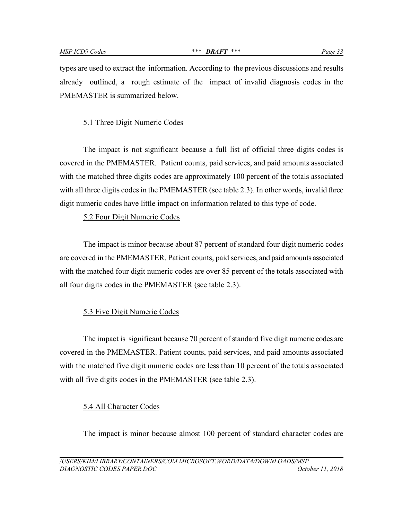types are used to extract the information. According to the previous discussions and results already outlined, a rough estimate of the impact of invalid diagnosis codes in the PMEMASTER is summarized below.

# 5.1 Three Digit Numeric Codes

The impact is not significant because a full list of official three digits codes is covered in the PMEMASTER. Patient counts, paid services, and paid amounts associated with the matched three digits codes are approximately 100 percent of the totals associated with all three digits codes in the PMEMASTER (see table 2.3). In other words, invalid three digit numeric codes have little impact on information related to this type of code.

## 5.2 Four Digit Numeric Codes

The impact is minor because about 87 percent of standard four digit numeric codes are covered in the PMEMASTER. Patient counts, paid services, and paid amounts associated with the matched four digit numeric codes are over 85 percent of the totals associated with all four digits codes in the PMEMASTER (see table 2.3).

#### 5.3 Five Digit Numeric Codes

The impact is significant because 70 percent of standard five digit numeric codes are covered in the PMEMASTER. Patient counts, paid services, and paid amounts associated with the matched five digit numeric codes are less than 10 percent of the totals associated with all five digits codes in the PMEMASTER (see table 2.3).

#### 5.4 All Character Codes

The impact is minor because almost 100 percent of standard character codes are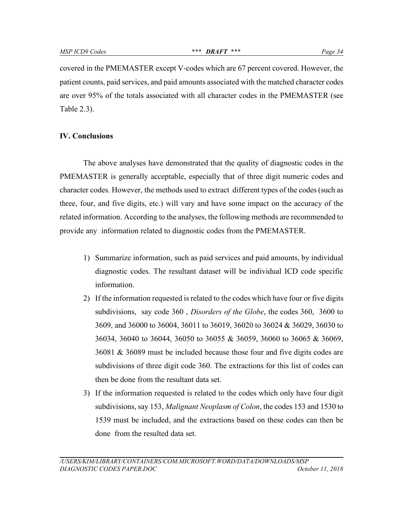covered in the PMEMASTER except V-codes which are 67 percent covered. However, the patient counts, paid services, and paid amounts associated with the matched character codes are over 95% of the totals associated with all character codes in the PMEMASTER (see Table 2.3).

#### **IV. Conclusions**

The above analyses have demonstrated that the quality of diagnostic codes in the PMEMASTER is generally acceptable, especially that of three digit numeric codes and character codes. However, the methods used to extract different types of the codes (such as three, four, and five digits, etc.) will vary and have some impact on the accuracy of the related information. According to the analyses, the following methods are recommended to provide any information related to diagnostic codes from the PMEMASTER.

- 1) Summarize information, such as paid services and paid amounts, by individual diagnostic codes. The resultant dataset will be individual ICD code specific information.
- 2) If the information requested is related to the codes which have four or five digits subdivisions, say code 360 , *Disorders of the Globe*, the codes 360, 3600 to 3609, and 36000 to 36004, 36011 to 36019, 36020 to 36024 & 36029, 36030 to 36034, 36040 to 36044, 36050 to 36055 & 36059, 36060 to 36065 & 36069, 36081 & 36089 must be included because those four and five digits codes are subdivisions of three digit code 360. The extractions for this list of codes can then be done from the resultant data set.
- 3) If the information requested is related to the codes which only have four digit subdivisions, say 153, *Malignant Neoplasm of Colon*, the codes 153 and 1530 to 1539 must be included, and the extractions based on these codes can then be done from the resulted data set.